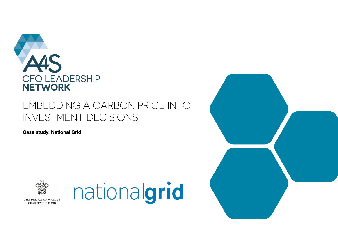

# EMBEDDING A CARBON PRICE INTO INVESTMENT DECISIONS

**Case study: National Grid**





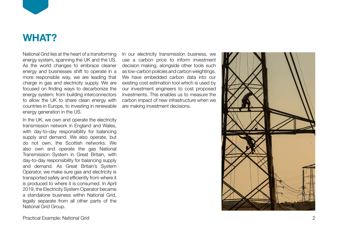

### **WHAT?**

National Grid lies at the heart of a transforming energy system, spanning the UK and the US. As the world changes to embrace cleaner energy and businesses shift to operate in a more responsible way, we are leading that charge in gas and electricity supply. We are focused on finding ways to decarbonize the energy system; from building interconnectors to allow the UK to share clean energy with countries in Europe, to investing in renewable energy generation in the US.

In the UK, we own and operate the electricity transmission network in England and Wales, with day-to-day responsibility for balancing supply and demand. We also operate, but do not own, the Scottish networks. We also own and operate the gas National Transmission System in Great Britain, with day-to-day responsibility for balancing supply and demand. As Great Britain's System Operator, we make sure gas and electricity is transported safely and efficiently from where it is produced to where it is consumed. In April 2019, the Electricity System Operator became a standalone business within National Grid, legally separate from all other parts of the National Grid Group.

In our electricity transmission business, we use a carbon price to inform investment decision making, alongside other tools such as low-carbon policies and carbon weightings. We have embedded carbon data into our existing cost estimation tool which is used by our investment engineers to cost proposed investments. This enables us to measure the carbon impact of new infrastructure when we are making investment decisions.

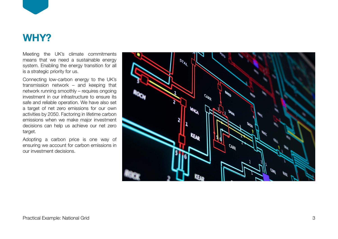

### **WHY?**

Meeting the UK's climate commitments means that we need a sustainable energy system. Enabling the energy transition for all is a strategic priority for us.

Connecting low-carbon energy to the UK's transmission network – and keeping that network running smoothly – requires ongoing investment in our infrastructure to ensure its safe and reliable operation. We have also set a target of net zero emissions for our own activities by 2050. Factoring in lifetime carbon emissions when we make major investment decisions can help us achieve our net zero target.

Adopting a carbon price is one way of ensuring we account for carbon emissions in our investment decisions.

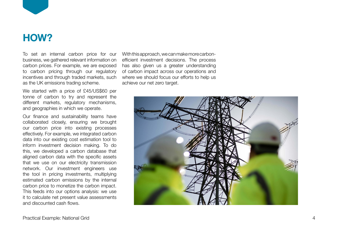

## **HOW?**

To set an internal carbon price for our With this approach, we can make more carbonbusiness, we gathered relevant information on carbon prices. For example, we are exposed to carbon pricing through our regulatory incentives and through traded markets, such as the UK emissions trading scheme.

We started with a price of £45/US\$60 per tonne of carbon to try and represent the different markets, regulatory mechanisms, and geographies in which we operate.

Our finance and sustainability teams have collaborated closely, ensuring we brought our carbon price into existing processes effectively. For example, we integrated carbon data into our existing cost estimation tool to inform investment decision making. To do this, we developed a carbon database that aligned carbon data with the specific assets that we use on our electricity transmission network. Our investment engineers use the tool in pricing investments, multiplying estimated carbon emissions by the internal carbon price to monetize the carbon impact. This feeds into our options analysis: we use it to calculate net present value assessments and discounted cash flows.

efficient investment decisions. The process has also given us a greater understanding of carbon impact across our operations and where we should focus our efforts to help us achieve our net zero target.

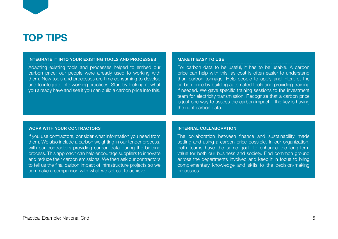

#### INTEGRATE IT INTO YOUR EXISTING TOOLS AND PROCESSES

Adapting existing tools and processes helped to embed our carbon price: our people were already used to working with them. New tools and processes are time consuming to develop and to integrate into working practices. Start by looking at what you already have and see if you can build a carbon price into this.

#### MAKE IT EASY TO USE

For carbon data to be useful, it has to be usable. A carbon price can help with this, as cost is often easier to understand than carbon tonnage. Help people to apply and interpret the carbon price by building automated tools and providing training if needed. We gave specific training sessions to the investment team for electricity transmission. Recognize that a carbon price is just one way to assess the carbon impact – the key is having the right carbon data.

#### WORK WITH YOUR CONTRACTORS

If you use contractors, consider what information you need from them. We also include a carbon weighting in our tender process, with our contractors providing carbon data during the bidding process. This approach can help encourage suppliers to innovate and reduce their carbon emissions. We then ask our contractors to tell us the final carbon impact of infrastructure projects so we can make a comparison with what we set out to achieve.

#### INTERNAL COLLABORATION

The collaboration between finance and sustainability made setting and using a carbon price possible. In our organization, both teams have the same goal: to enhance the long-term value for both our business and society. Find common ground across the departments involved and keep it in focus to bring complementary knowledge and skills to the decision-making processes.